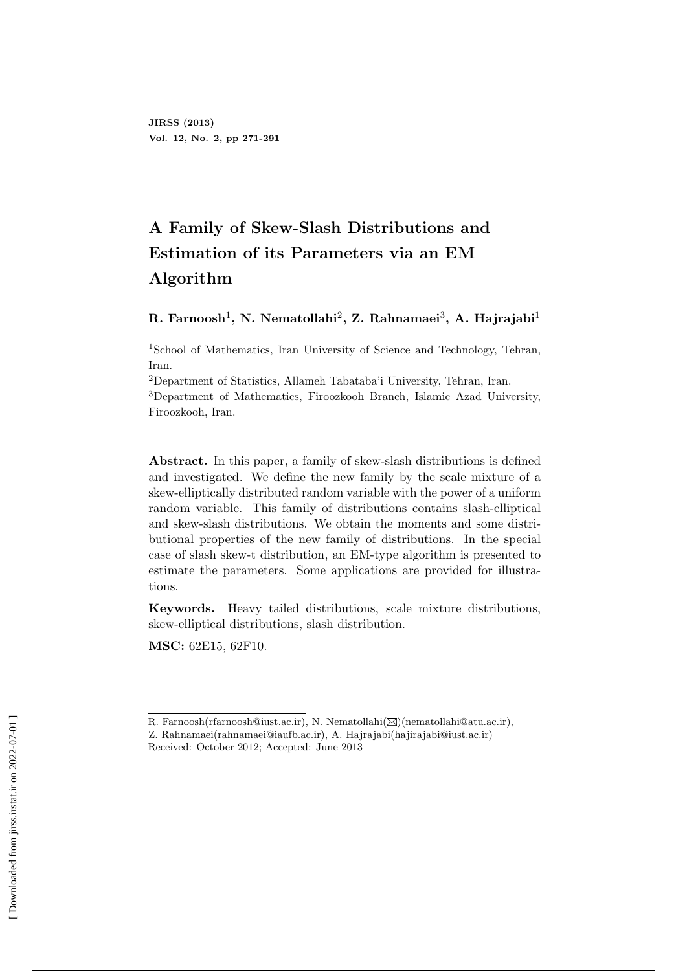# **A Family of Skew-Slash Distributions and Estimation of its Parameters via an EM Algorithm**

#### ${\bf R.\ Farnoosh}^1,\ {\bf N.\ Nematollahi}^2,\ {\bf Z.\ Rahnamei}^3,\ {\bf A.\ Hajrajabi}^1$

<sup>1</sup>School of Mathematics, Iran University of Science and Technology, Tehran, Iran.

<sup>2</sup>Department of Statistics, Allameh Tabataba'i University, Tehran, Iran.

<sup>3</sup>Department of Mathematics, Firoozkooh Branch, Islamic Azad University, Firoozkooh, Iran.

**Abstract.** In this paper, a family of skew-slash distributions is defined and investigated. We define the new family by the scale mixture of a skew-elliptically distributed random variable with the power of a uniform random variable. This family of distributions contains slash-elliptical and skew-slash distributions. We obtain the moments and some distributional properties of the new family of distributions. In the special case of slash skew-t distribution, an EM-type algorithm is presented to estimate the parameters. Some applications are provided for illustrations.

**Keywords.** Heavy tailed distributions, scale mixture distributions, skew-elliptical distributions, slash distribution.

**MSC:** 62E15, 62F10.

R. Farnoosh(rfarnoosh@iust.ac.ir), N. Nematollahi( $\boxtimes$ )(nematollahi@atu.ac.ir),

Z. Rahnamaei(rahnamaei@iaufb.ac.ir), A. Hajrajabi(hajirajabi@iust.ac.ir) Received: October 2012; Accepted: June 2013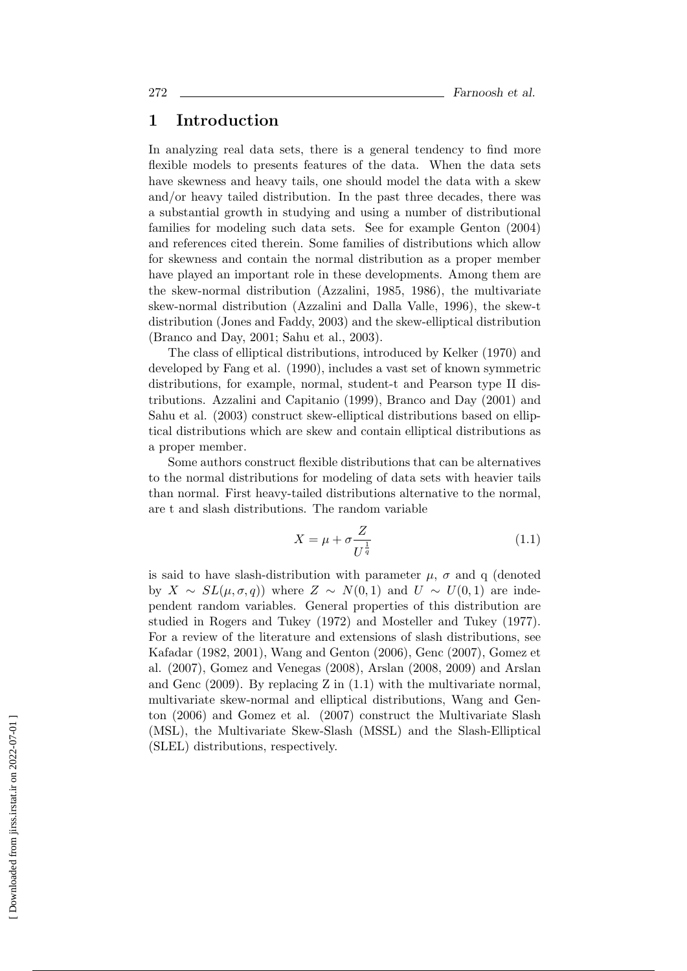## **1 Introduction**

In analyzing real data sets, there is a general tendency to find more flexible models to presents features of the data. When the data sets have skewness and heavy tails, one should model the data with a skew and/or heavy tailed distribution. In the past three decades, there was a substantial growth in studying and using a number of distributional families for modeling such data sets. See for example Genton (2004) and references cited therein. Some families of distributions which allow for skewness and contain the normal distribution as a proper member have played an important role in these developments. Among them are the skew-normal distribution (Azzalini, 1985, 1986), the multivariate skew-normal distribution (Azzalini and Dalla Valle, 1996), the skew-t distribution (Jones and Faddy, 2003) and the skew-elliptical distribution (Branco and Day, 2001; Sahu et al., 2003).

The class of elliptical distributions, introduced by Kelker (1970) and developed by Fang et al. (1990), includes a vast set of known symmetric distributions, for example, normal, student-t and Pearson type II distributions. Azzalini and Capitanio (1999), Branco and Day (2001) and Sahu et al. (2003) construct skew-elliptical distributions based on elliptical distributions which are skew and contain elliptical distributions as a proper member.

Some authors construct flexible distributions that can be alternatives to the normal distributions for modeling of data sets with heavier tails than normal. First heavy-tailed distributions alternative to the normal, are t and slash distributions. The random variable

$$
X = \mu + \sigma \frac{Z}{U^{\frac{1}{q}}} \tag{1.1}
$$

is said to have slash-distribution with parameter  $\mu$ ,  $\sigma$  and q (denoted by *X ∼ SL*(*µ, σ, q*)) where *Z ∼ N*(0*,* 1) and *U ∼ U*(0*,* 1) are independent random variables. General properties of this distribution are studied in Rogers and Tukey (1972) and Mosteller and Tukey (1977). For a review of the literature and extensions of slash distributions, see Kafadar (1982, 2001), Wang and Genton (2006), Genc (2007), Gomez et al. (2007), Gomez and Venegas (2008), Arslan (2008, 2009) and Arslan and Genc (2009). By replacing Z in (1.1) with the multivariate normal, multivariate skew-normal and elliptical distributions, Wang and Genton (2006) and Gomez et al. (2007) construct the Multivariate Slash (MSL), the Multivariate Skew-Slash (MSSL) and the Slash-Elliptical (SLEL) distributions, respectively.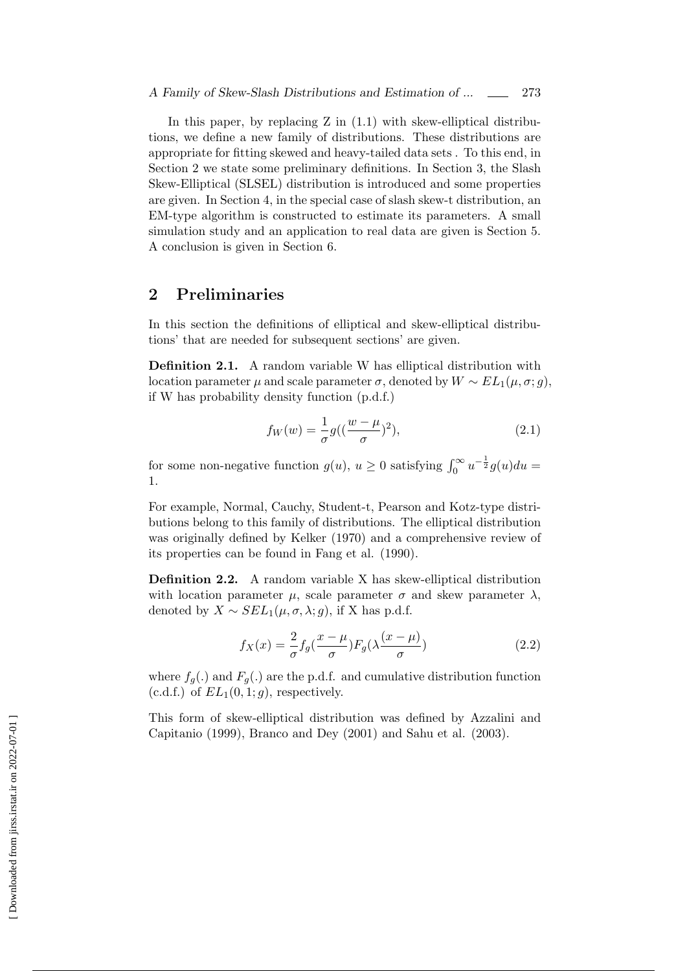In this paper, by replacing  $Z$  in  $(1.1)$  with skew-elliptical distributions, we define a new family of distributions. These distributions are appropriate for fitting skewed and heavy-tailed data sets . To this end, in Section 2 we state some preliminary definitions. In Section 3, the Slash Skew-Elliptical (SLSEL) distribution is introduced and some properties are given. In Section 4, in the special case of slash skew-t distribution, an EM-type algorithm is constructed to estimate its parameters. A small simulation study and an application to real data are given is Section 5. A conclusion is given in Section 6.

#### **2 Preliminaries**

In this section the definitions of elliptical and skew-elliptical distributions' that are needed for subsequent sections' are given.

**Definition 2.1.** A random variable W has elliptical distribution with location parameter  $\mu$  and scale parameter  $\sigma$ , denoted by  $W \sim EL_1(\mu, \sigma; g)$ , if W has probability density function (p.d.f.)

$$
f_W(w) = \frac{1}{\sigma} g\left(\left(\frac{w-\mu}{\sigma}\right)^2\right),\tag{2.1}
$$

for some non-negative function  $g(u)$ ,  $u \ge 0$  satisfying  $\int_0^\infty u^{-\frac{1}{2}} g(u) du =$ 1.

For example, Normal, Cauchy, Student-t, Pearson and Kotz-type distributions belong to this family of distributions. The elliptical distribution was originally defined by Kelker (1970) and a comprehensive review of its properties can be found in Fang et al. (1990).

**Definition 2.2.** A random variable X has skew-elliptical distribution with location parameter  $\mu$ , scale parameter  $\sigma$  and skew parameter  $\lambda$ , denoted by  $X \sim SEL_1(\mu, \sigma, \lambda; g)$ , if X has p.d.f.

$$
f_X(x) = \frac{2}{\sigma} f_g(\frac{x-\mu}{\sigma}) F_g(\lambda \frac{(x-\mu)}{\sigma})
$$
\n(2.2)

where  $f_q(.)$  and  $F_q(.)$  are the p.d.f. and cumulative distribution function  $(c.d.f.)$  of  $EL_1(0,1;q)$ , respectively.

This form of skew-elliptical distribution was defined by Azzalini and Capitanio (1999), Branco and Dey (2001) and Sahu et al. (2003).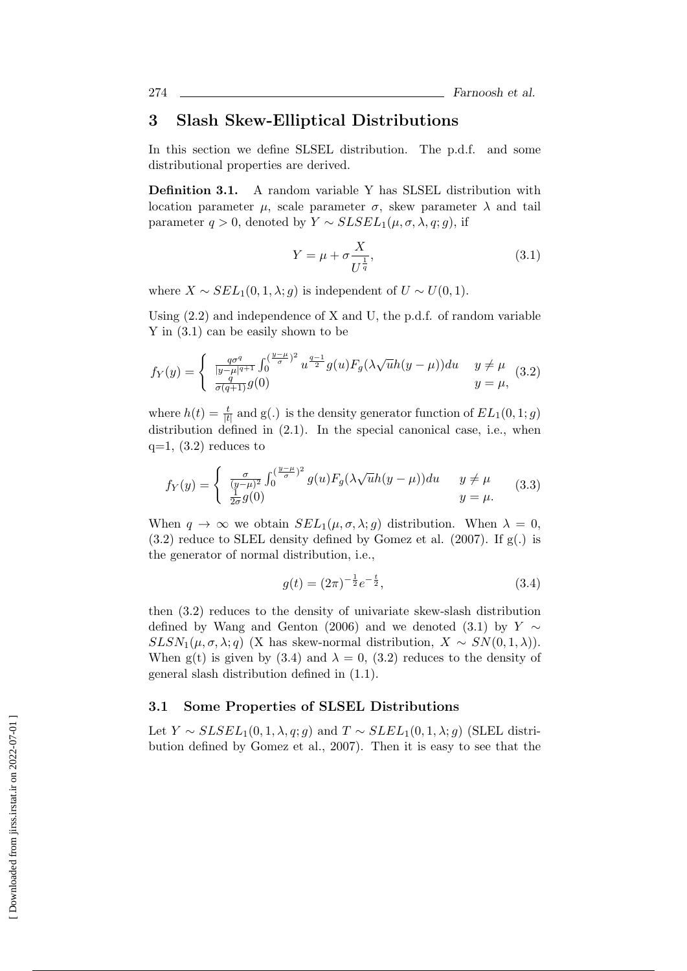## **3 Slash Skew-Elliptical Distributions**

In this section we define SLSEL distribution. The p.d.f. and some distributional properties are derived.

**Definition 3.1.** A random variable Y has SLSEL distribution with location parameter *μ*, scale parameter *σ*, skew parameter  $λ$  and tail parameter  $q > 0$ , denoted by  $Y \sim SLSEL_1(\mu, \sigma, \lambda, q; q)$ , if

$$
Y = \mu + \sigma \frac{X}{U^{\frac{1}{q}}},\tag{3.1}
$$

where  $X \sim SEL_1(0, 1, \lambda; q)$  is independent of  $U \sim U(0, 1)$ .

Using (2.2) and independence of X and U, the p.d.f. of random variable Y in (3.1) can be easily shown to be

$$
f_Y(y) = \begin{cases} \frac{q\sigma^q}{|y-\mu|^{q+1}} \int_0^{(\frac{y-\mu}{\sigma})^2} u^{\frac{q-1}{2}} g(u) F_g(\lambda \sqrt{u}h(y-\mu)) du & y \neq \mu \\ \frac{q}{\sigma(q+1)} g(0) & y = \mu, \end{cases}
$$
 (3.2)

where  $h(t) = \frac{t}{|t|}$  and g(.) is the density generator function of  $EL_1(0, 1; g)$ distribution defined in  $(2.1)$ . In the special canonical case, i.e., when  $q=1$ ,  $(3.2)$  reduces to

$$
f_Y(y) = \begin{cases} \frac{\sigma}{(y-\mu)^2} \int_0^{\left(\frac{y-\mu}{\sigma}\right)^2} g(u) F_g(\lambda \sqrt{u}h(y-\mu)) du & y \neq \mu\\ \frac{1}{2\sigma} g(0) & y = \mu. \end{cases}
$$
(3.3)

When  $q \to \infty$  we obtain  $SEL_1(\mu, \sigma, \lambda; q)$  distribution. When  $\lambda = 0$ ,  $(3.2)$  reduce to SLEL density defined by Gomez et al.  $(2007)$ . If  $g(.)$  is the generator of normal distribution, i.e.,

$$
g(t) = (2\pi)^{-\frac{1}{2}}e^{-\frac{t}{2}},\tag{3.4}
$$

then (3.2) reduces to the density of univariate skew-slash distribution defined by Wang and Genton (2006) and we denoted (3.1) by  $Y \sim$ *SLSN*<sub>1</sub>( $\mu, \sigma, \lambda; q$ ) (X has skew-normal distribution,  $X \sim SN(0, 1, \lambda)$ ). When g(t) is given by (3.4) and  $\lambda = 0$ , (3.2) reduces to the density of general slash distribution defined in (1.1).

#### **3.1 Some Properties of SLSEL Distributions**

Let  $Y \sim SLSEL_1(0, 1, \lambda, q; q)$  and  $T \sim SLEL_1(0, 1, \lambda; q)$  (SLEL distribution defined by Gomez et al., 2007). Then it is easy to see that the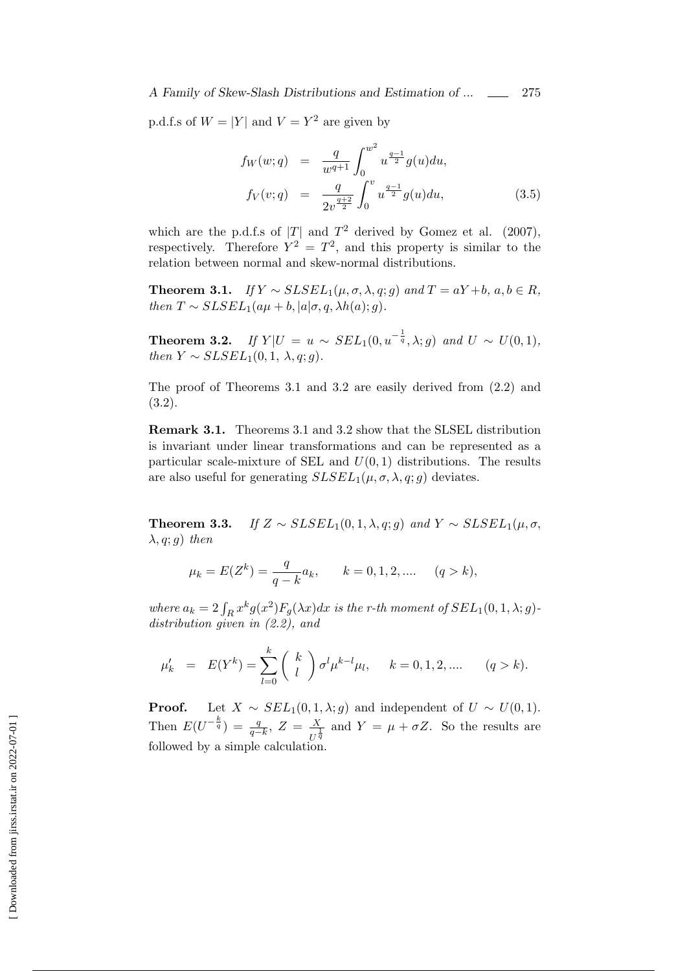p.d.f.s of  $W = |Y|$  and  $V = Y^2$  are given by

$$
f_W(w;q) = \frac{q}{w^{q+1}} \int_0^{w^2} u^{\frac{q-1}{2}} g(u) du,
$$
  
\n
$$
f_V(v;q) = \frac{q}{2v^{\frac{q+2}{2}}} \int_0^v u^{\frac{q-1}{2}} g(u) du,
$$
\n(3.5)

which are the p.d.f.s of  $|T|$  and  $T^2$  derived by Gomez et al. (2007), respectively. Therefore  $Y^2 = T^2$ , and this property is similar to the relation between normal and skew-normal distributions.

**Theorem 3.1.** *If*  $Y \sim SLSEL_1(\mu, \sigma, \lambda, q; g)$  *and*  $T = aY + b$ *,*  $a, b \in R$ *, then*  $T \sim SLSEL_1(a\mu + b, |a|\sigma, q, \lambda h(a); g)$ .

**Theorem 3.2.** *If*  $Y|U = u \sim SEL_1(0, u^{-\frac{1}{q}}, \lambda; g)$  *and*  $U \sim U(0, 1)$ *,*  $then Y \sim SLSEL_1(0, 1, \lambda, q; q)$ .

The proof of Theorems 3.1 and 3.2 are easily derived from (2.2) and (3.2).

**Remark 3.1.** Theorems 3.1 and 3.2 show that the SLSEL distribution is invariant under linear transformations and can be represented as a particular scale-mixture of SEL and  $U(0, 1)$  distributions. The results are also useful for generating  $SLSEL_1(\mu, \sigma, \lambda, q; q)$  deviates.

**Theorem 3.3.** *If*  $Z \sim SLSEL_1(0, 1, \lambda, q; q)$  *and*  $Y \sim SLSEL_1(\mu, \sigma, q)$ *λ, q*; *g*) *then*

$$
\mu_k = E(Z^k) = \frac{q}{q-k}a_k, \qquad k = 0, 1, 2, .... \qquad (q > k),
$$

*where*  $a_k = 2 \int_R x^k g(x^2) F_g(\lambda x) dx$  *is the r-th moment of*  $SEL_1(0, 1, \lambda; g)$ *distribution given in (2.2), and*

$$
\mu'_k = E(Y^k) = \sum_{l=0}^k {k \choose l} \sigma^l \mu^{k-l} \mu_l, \quad k = 0, 1, 2, .... \quad (q > k).
$$

**Proof.** Let  $X \sim SEL_1(0, 1, \lambda; g)$  and independent of  $U \sim U(0, 1)$ . Then  $E(U^{-\frac{k}{q}}) = \frac{q}{q-k}, Z = \frac{X}{U^{\frac{1}{q}}}$  $\frac{X}{U^{\frac{1}{q}}}$  and  $Y = \mu + \sigma Z$ . So the results are followed by a simple calculation.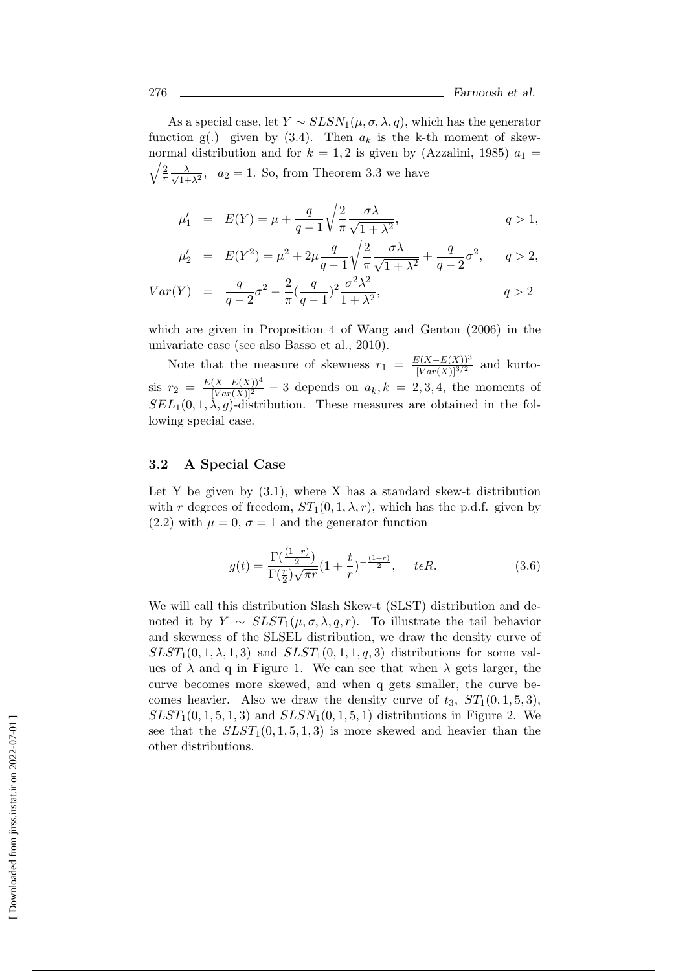As a special case, let  $Y \sim SLSN_1(\mu, \sigma, \lambda, q)$ , which has the generator function  $g(.)$  given by  $(3.4)$ . Then  $a_k$  is the k-th moment of skew-√ 2 normal distribution and for  $k = 1, 2$  is given by (Azzalini, 1985)  $a_1 =$  $rac{2}{\pi} \frac{\lambda}{\sqrt{1+1}}$  $\frac{\lambda}{1+\lambda^2}$ ,  $a_2 = 1$ . So, from Theorem 3.3 we have

$$
\mu'_1 = E(Y) = \mu + \frac{q}{q-1} \sqrt{\frac{2}{\pi}} \frac{\sigma \lambda}{\sqrt{1+\lambda^2}},
$$
\n $q > 1,$ 

$$
\mu'_2 = E(Y^2) = \mu^2 + 2\mu \frac{q}{q-1} \sqrt{\frac{2}{\pi}} \frac{\sigma \lambda}{\sqrt{1+\lambda^2}} + \frac{q}{q-2} \sigma^2, \quad q > 2,
$$

$$
Var(Y) = \frac{q}{q-2}\sigma^2 - \frac{2}{\pi}(\frac{q}{q-1})^2 \frac{\sigma^2 \lambda^2}{1+\lambda^2},
$$
  $q > 2$ 

which are given in Proposition 4 of Wang and Genton (2006) in the univariate case (see also Basso et al., 2010).

Note that the measure of skewness  $r_1 = \frac{E(X - E(X))^3}{[Var(X)]^{3/2}}$  and kurto- $\sin r_2 = \frac{E(X-E(X))^4}{[Var(X)]^2} - 3$  depends on  $a_k, k = 2, 3, 4$ , the moments of  $SEL_1(0,1,\lambda,g)$ -distribution. These measures are obtained in the following special case.

#### **3.2 A Special Case**

Let Y be given by  $(3.1)$ , where X has a standard skew-t distribution with *r* degrees of freedom,  $ST_1(0,1,\lambda,r)$ , which has the p.d.f. given by  $(2.2)$  with  $\mu = 0$ ,  $\sigma = 1$  and the generator function

$$
g(t) = \frac{\Gamma(\frac{(1+r)}{2})}{\Gamma(\frac{r}{2})\sqrt{\pi r}} (1 + \frac{t}{r})^{-\frac{(1+r)}{2}}, \quad t \in R.
$$
 (3.6)

We will call this distribution Slash Skew-t (SLST) distribution and denoted it by  $Y \sim SLST_1(\mu, \sigma, \lambda, q, r)$ . To illustrate the tail behavior and skewness of the SLSEL distribution, we draw the density curve of  $SLST_1(0,1,\lambda,1,3)$  and  $SLST_1(0,1,1,q,3)$  distributions for some values of  $\lambda$  and q in Figure 1. We can see that when  $\lambda$  gets larger, the curve becomes more skewed, and when q gets smaller, the curve becomes heavier. Also we draw the density curve of  $t_3$ ,  $ST_1(0, 1, 5, 3)$ ,  $SLST<sub>1</sub>(0, 1, 5, 1, 3)$  and  $SLSN<sub>1</sub>(0, 1, 5, 1)$  distributions in Figure 2. We see that the  $SLST_1(0,1,5,1,3)$  is more skewed and heavier than the other distributions.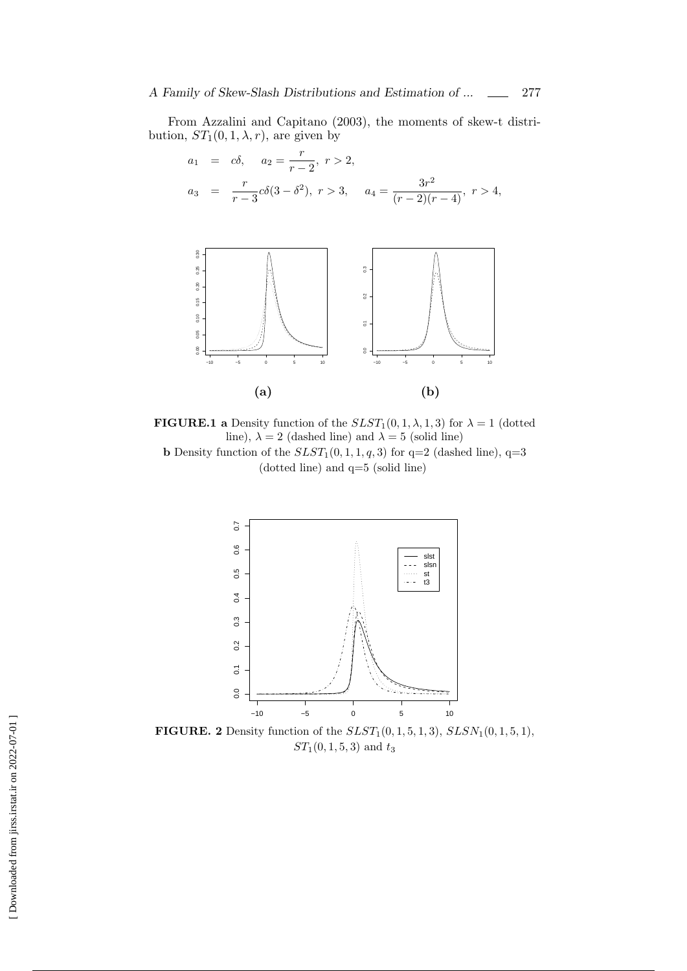From Azzalini and Capitano (2003), the moments of skew-t distribution,  $ST_1(0,1,\lambda,r)$ , are given by

$$
a_1 = c\delta, \quad a_2 = \frac{r}{r-2}, \ r > 2,
$$
  

$$
a_3 = \frac{r}{r-3}c\delta(3-\delta^2), \ r > 3, \quad a_4 = \frac{3r^2}{(r-2)(r-4)}, \ r > 4,
$$



**FIGURE.1** a Density function of the  $SLST_1(0,1,\lambda,1,3)$  for  $\lambda = 1$  (dotted line),  $\lambda = 2$  (dashed line) and  $\lambda = 5$  (solid line) **b** Density function of the  $SLST_1(0,1,1,q,3)$  for  $q=2$  (dashed line),  $q=3$ (dotted line) and q=5 (solid line)



**FIGURE. 2** Density function of the  $SLST_1(0, 1, 5, 1, 3)$ ,  $SLSN_1(0, 1, 5, 1)$ , *ST*1(0*,* 1*,* 5*,* 3) and *t*<sup>3</sup>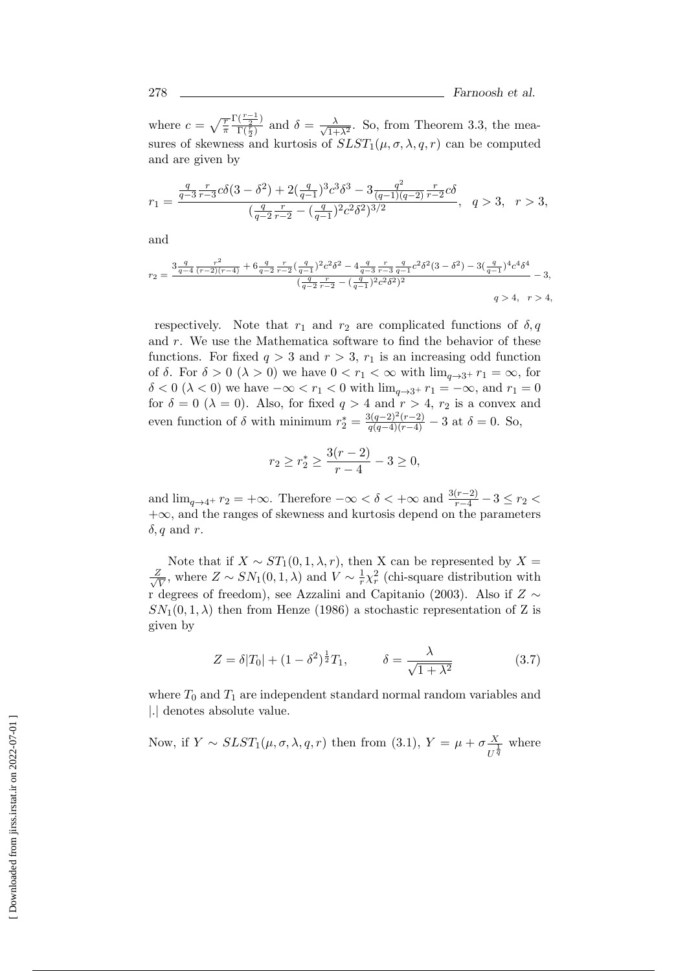where  $c = \sqrt{\frac{r}{\pi}}$  $\frac{\Gamma(\frac{r-1}{2})}{\Gamma(\frac{r-1}{2})}$  $\frac{\Gamma(\frac{r}{2})}{\Gamma(\frac{r}{2})}$  and  $\delta = \frac{\lambda}{\sqrt{1+\lambda}}$  $\frac{\lambda}{1+\lambda^2}$ . So, from Theorem 3.3, the measures of skewness and kurtosis of  $SLST_1(\mu, \sigma, \lambda, q, r)$  can be computed and are given by

$$
r_1 = \frac{\frac{q}{q-3} \frac{r}{r-3} c\delta(3-\delta^2) + 2(\frac{q}{q-1})^3 c^3 \delta^3 - 3 \frac{q^2}{(q-1)(q-2)} \frac{r}{r-2} c\delta}{(\frac{q}{q-2} \frac{r}{r-2} - (\frac{q}{q-1})^2 c^2 \delta^2)^{3/2}}, \quad q > 3, \quad r > 3,
$$

and

$$
r_2 = \frac{3\frac{q}{q-4}\frac{r^2}{(r-2)(r-4)} + 6\frac{q}{q-2}\frac{r}{r-2}\left(\frac{q}{q-1}\right)^2 c^2 \delta^2 - 4\frac{q}{q-3}\frac{r}{r-3}\frac{q}{q-1}c^2 \delta^2(3-\delta^2) - 3\left(\frac{q}{q-1}\right)^4 c^4 \delta^4}{\left(\frac{q}{q-2}\frac{r}{r-2} - \left(\frac{q}{q-1}\right)^2 c^2 \delta^2\right)^2} - 3,
$$
  
 
$$
q > 4, \quad r > 4,
$$

respectively. Note that  $r_1$  and  $r_2$  are complicated functions of  $\delta, q$ and *r*. We use the Mathematica software to find the behavior of these functions. For fixed  $q > 3$  and  $r > 3$ ,  $r_1$  is an increasing odd function of  $\delta$ . For  $\delta > 0$  ( $\lambda > 0$ ) we have  $0 < r_1 < \infty$  with  $\lim_{a \to 3^+} r_1 = \infty$ , for  $\delta$  < 0 ( $\lambda$  < 0) we have  $-\infty$  <  $r_1$  < 0 with  $\lim_{q\to 3^+} r_1 = -\infty$ , and  $r_1 = 0$ for  $\delta = 0$  ( $\lambda = 0$ ). Also, for fixed  $q > 4$  and  $r > 4$ ,  $r_2$  is a convex and even function of  $\delta$  with minimum  $r_2^* = \frac{3(q-2)^2(r-2)}{q(q-4)(r-4)} - 3$  at  $\delta = 0$ . So,

$$
r_2 \ge r_2^* \ge \frac{3(r-2)}{r-4} - 3 \ge 0,
$$

and  $\lim_{q \to 4^+} r_2 = +\infty$ . Therefore  $-\infty < \delta < +\infty$  and  $\frac{3(r-2)}{r-4} - 3 \le r_2 <$ +*∞*, and the ranges of skewness and kurtosis depend on the parameters *δ, q* and *r*.

Note that if  $X \sim ST_1(0, 1, \lambda, r)$ , then X can be represented by  $X =$ *√ Z*  $\frac{Z}{V}$ , where  $Z \sim SN_1(0, 1, \lambda)$  and  $V \sim \frac{1}{r}$  $\frac{1}{r}\chi_r^2$  (chi-square distribution with r degrees of freedom), see Azzalini and Capitanio (2003). Also if *Z ∼*  $SN_1(0,1,\lambda)$  then from Henze (1986) a stochastic representation of Z is given by

$$
Z = \delta |T_0| + (1 - \delta^2)^{\frac{1}{2}} T_1, \qquad \delta = \frac{\lambda}{\sqrt{1 + \lambda^2}} \tag{3.7}
$$

where  $T_0$  and  $T_1$  are independent standard normal random variables and *|.|* denotes absolute value.

Now, if 
$$
Y \sim SLST_1(\mu, \sigma, \lambda, q, r)
$$
 then from (3.1),  $Y = \mu + \sigma \frac{X}{U^{\frac{1}{q}}}$  where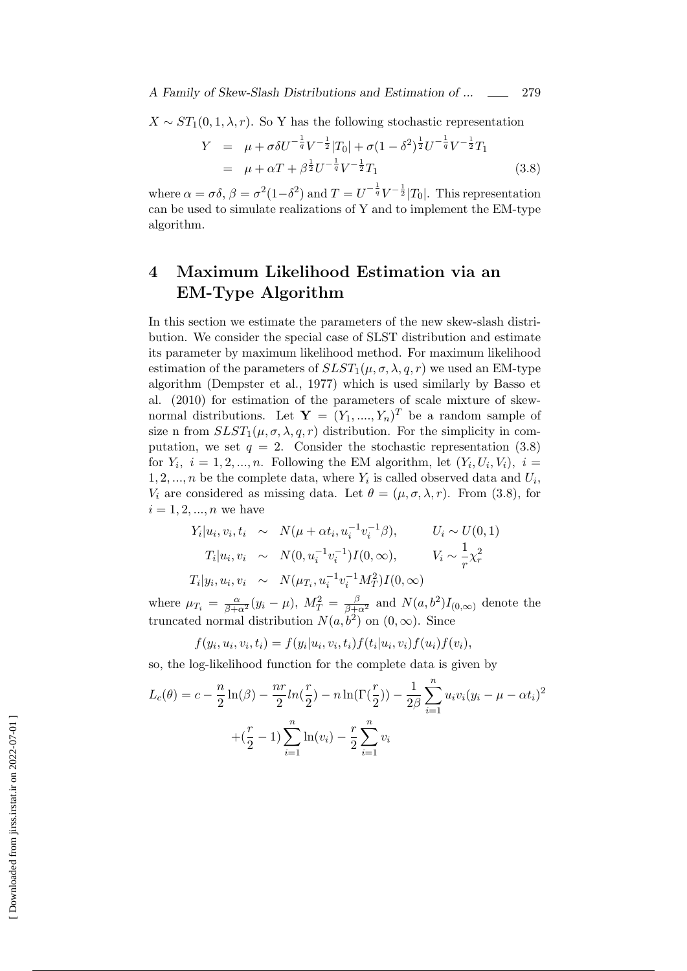*A Family of Skew-Slash Distributions and Estimation of ...*  $\qquad \qquad \boxed{279}$ 

 $X \sim ST_1(0, 1, \lambda, r)$ . So Y has the following stochastic representation

$$
Y = \mu + \sigma \delta U^{-\frac{1}{q}} V^{-\frac{1}{2}} |T_0| + \sigma (1 - \delta^2)^{\frac{1}{2}} U^{-\frac{1}{q}} V^{-\frac{1}{2}} T_1
$$
  
=  $\mu + \alpha T + \beta^{\frac{1}{2}} U^{-\frac{1}{q}} V^{-\frac{1}{2}} T_1$  (3.8)

where  $\alpha = \sigma \delta$ ,  $\beta = \sigma^2 (1 - \delta^2)$  and  $T = U^{-\frac{1}{q}} V^{-\frac{1}{2}} |T_0|$ . This representation can be used to simulate realizations of Y and to implement the EM-type algorithm.

## **4 Maximum Likelihood Estimation via an EM-Type Algorithm**

In this section we estimate the parameters of the new skew-slash distribution. We consider the special case of SLST distribution and estimate its parameter by maximum likelihood method. For maximum likelihood estimation of the parameters of  $SLST_1(\mu, \sigma, \lambda, q, r)$  we used an EM-type algorithm (Dempster et al., 1977) which is used similarly by Basso et al. (2010) for estimation of the parameters of scale mixture of skewnormal distributions. Let  $\mathbf{Y} = (Y_1, ..., Y_n)^T$  be a random sample of size n from  $SLST_1(\mu, \sigma, \lambda, q, r)$  distribution. For the simplicity in computation, we set  $q = 2$ . Consider the stochastic representation (3.8) for  $Y_i$ ,  $i = 1, 2, ..., n$ . Following the EM algorithm, let  $(Y_i, U_i, V_i)$ ,  $i =$ 1, 2, ..., *n* be the complete data, where  $Y_i$  is called observed data and  $U_i$ , *V*<sub>*i*</sub> are considered as missing data. Let  $\theta = (\mu, \sigma, \lambda, r)$ . From (3.8), for  $i = 1, 2, ..., n$  we have

$$
Y_i|u_i, v_i, t_i \sim N(\mu + \alpha t_i, u_i^{-1} v_i^{-1} \beta), \qquad U_i \sim U(0, 1)
$$
  
\n
$$
T_i|u_i, v_i \sim N(0, u_i^{-1} v_i^{-1})I(0, \infty), \qquad V_i \sim \frac{1}{r} \chi_r^2
$$
  
\n
$$
T_i|y_i, u_i, v_i \sim N(\mu_{T_i}, u_i^{-1} v_i^{-1} M_T^2)I(0, \infty)
$$

where  $\mu_{T_i} = \frac{\alpha}{\beta + \alpha^2} (y_i - \mu)$ ,  $M_T^2 = \frac{\beta}{\beta + \alpha^2}$  and  $N(a, b^2) I_{(0, \infty)}$  denote the truncated normal distribution  $N(a, b^2)$  on  $(0, \infty)$ . Since

$$
f(y_i, u_i, v_i, t_i) = f(y_i|u_i, v_i, t_i) f(t_i|u_i, v_i) f(u_i) f(v_i),
$$

so, the log-likelihood function for the complete data is given by

$$
L_c(\theta) = c - \frac{n}{2} \ln(\beta) - \frac{nr}{2} ln(\frac{r}{2}) - n \ln(\Gamma(\frac{r}{2})) - \frac{1}{2\beta} \sum_{i=1}^n u_i v_i (y_i - \mu - \alpha t_i)^2
$$

$$
+ (\frac{r}{2} - 1) \sum_{i=1}^n \ln(v_i) - \frac{r}{2} \sum_{i=1}^n v_i
$$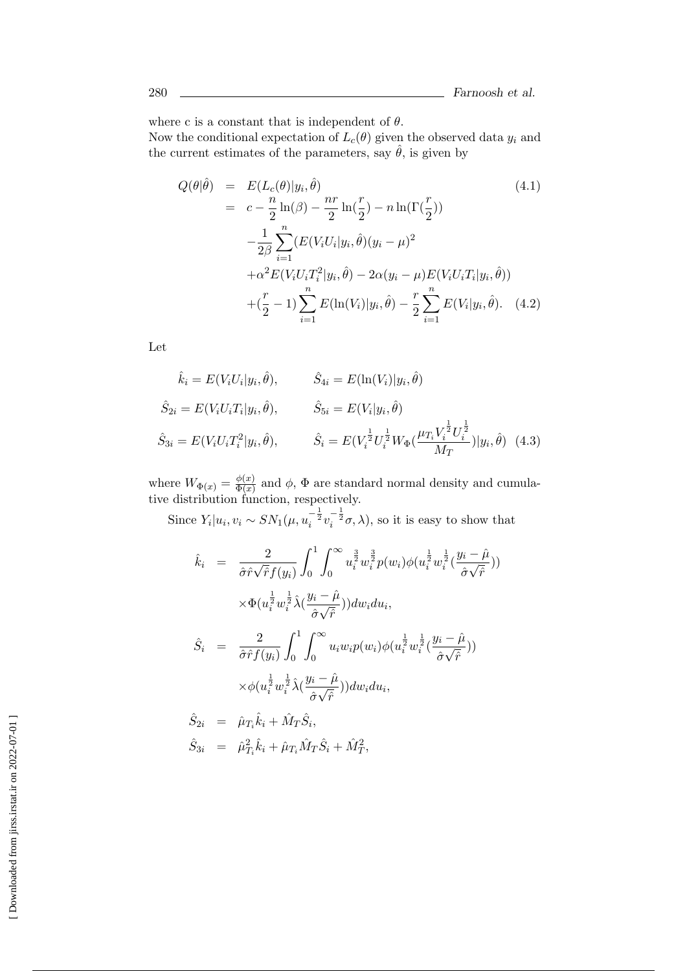where c is a constant that is independent of *θ*.

Now the conditional expectation of  $L_c(\theta)$  given the observed data  $y_i$  and the current estimates of the parameters, say  $\hat{\theta}$ , is given by

$$
Q(\theta|\hat{\theta}) = E(L_c(\theta)|y_i, \hat{\theta})
$$
\n
$$
= c - \frac{n}{2}\ln(\beta) - \frac{nr}{2}\ln(\frac{r}{2}) - n\ln(\Gamma(\frac{r}{2}))
$$
\n
$$
- \frac{1}{2\beta} \sum_{i=1}^n (E(V_i U_i | y_i, \hat{\theta})(y_i - \mu)^2
$$
\n
$$
+ \alpha^2 E(V_i U_i T_i^2 | y_i, \hat{\theta}) - 2\alpha (y_i - \mu) E(V_i U_i T_i | y_i, \hat{\theta}))
$$
\n
$$
+ (\frac{r}{2} - 1) \sum_{i=1}^n E(\ln(V_i) | y_i, \hat{\theta}) - \frac{r}{2} \sum_{i=1}^n E(V_i | y_i, \hat{\theta}). \quad (4.2)
$$
\n(4.2)

Let

$$
\hat{k}_i = E(V_i U_i | y_i, \hat{\theta}), \qquad \hat{S}_{4i} = E(\ln(V_i) | y_i, \hat{\theta})
$$
  

$$
\hat{S}_{2i} = E(V_i U_i T_i | y_i, \hat{\theta}), \qquad \hat{S}_{5i} = E(V_i | y_i, \hat{\theta})
$$
  

$$
\hat{S}_{3i} = E(V_i U_i T_i^2 | y_i, \hat{\theta}), \qquad \hat{S}_i = E(V_i^{\frac{1}{2}} U_i^{\frac{1}{2}} W_{\Phi} (\frac{\mu_{T_i} V_i^{\frac{1}{2}} U_i^{\frac{1}{2}}}{M_T}) | y_i, \hat{\theta}) \quad (4.3)
$$

where  $W_{\Phi(x)} = \frac{\phi(x)}{\Phi(x)}$  $\frac{\phi(x)}{\Phi(x)}$  and  $\phi$ ,  $\Phi$  are standard normal density and cumulative distribution function, respectively.

Since  $Y_i|u_i, v_i \sim SN_1(\mu, u_i^{-\frac{1}{2}}v_i^{-\frac{1}{2}}\sigma, \lambda)$ , so it is easy to show that

$$
\hat{k}_i = \frac{2}{\hat{\sigma}\hat{r}\sqrt{\hat{r}}f(y_i)} \int_0^1 \int_0^\infty u_i^{\frac{3}{2}} w_i^{\frac{3}{2}} p(w_i) \phi(u_i^{\frac{1}{2}} w_i^{\frac{1}{2}} (\frac{y_i - \hat{\mu}}{\hat{\sigma}\sqrt{\hat{r}}}))
$$
\n
$$
\times \Phi(u_i^{\frac{1}{2}} w_i^{\frac{1}{2}} \hat{\lambda} (\frac{y_i - \hat{\mu}}{\hat{\sigma}\sqrt{\hat{r}}})) dw_i du_i,
$$
\n
$$
\hat{S}_i = \frac{2}{\hat{\sigma}\hat{r}f(y_i)} \int_0^1 \int_0^\infty u_i w_i p(w_i) \phi(u_i^{\frac{1}{2}} w_i^{\frac{1}{2}} (\frac{y_i - \hat{\mu}}{\hat{\sigma}\sqrt{\hat{r}}}))
$$
\n
$$
\times \phi(u_i^{\frac{1}{2}} w_i^{\frac{1}{2}} \hat{\lambda} (\frac{y_i - \hat{\mu}}{\hat{\sigma}\sqrt{\hat{r}}})) dw_i du_i,
$$

$$
\hat{S}_{2i} = \hat{\mu}_{T_i} \hat{k}_i + \hat{M}_T \hat{S}_i, \n\hat{S}_{3i} = \hat{\mu}_{T_i}^2 \hat{k}_i + \hat{\mu}_{T_i} \hat{M}_T \hat{S}_i + \hat{M}_T^2,
$$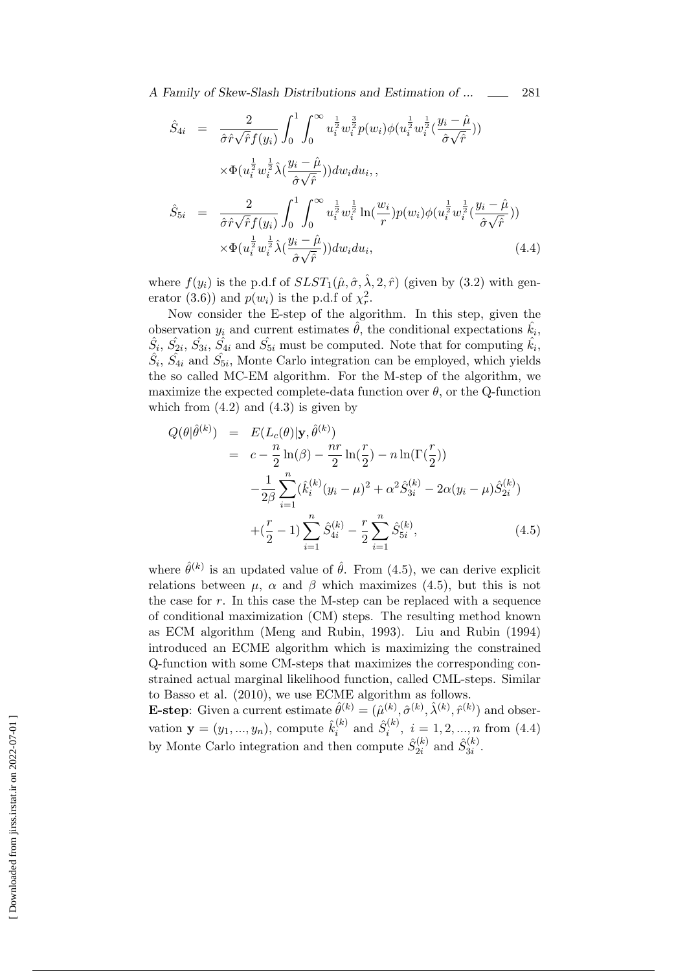*A Family of Skew-Slash Distributions and Estimation of ...* 281

$$
\hat{S}_{4i} = \frac{2}{\hat{\sigma}\hat{r}\sqrt{\hat{r}}f(y_i)} \int_0^1 \int_0^\infty u_i^{\frac{1}{2}} w_i^{\frac{3}{2}} p(w_i) \phi(u_i^{\frac{1}{2}} w_i^{\frac{1}{2}} (\frac{y_i - \hat{\mu}}{\hat{\sigma}\sqrt{\hat{r}}}))
$$
\n
$$
\times \Phi(u_i^{\frac{1}{2}} w_i^{\frac{1}{2}} \hat{\lambda} (\frac{y_i - \hat{\mu}}{\hat{\sigma}\sqrt{\hat{r}}})) dw_i du_i,
$$
\n
$$
\hat{S}_{5i} = \frac{2}{\hat{\sigma}\hat{r}\sqrt{\hat{r}}f(y_i)} \int_0^1 \int_0^\infty u_i^{\frac{1}{2}} w_i^{\frac{1}{2}} \ln(\frac{w_i}{r}) p(w_i) \phi(u_i^{\frac{1}{2}} w_i^{\frac{1}{2}} (\frac{y_i - \hat{\mu}}{\hat{\sigma}\sqrt{\hat{r}}}))
$$
\n
$$
\times \Phi(u_i^{\frac{1}{2}} w_i^{\frac{1}{2}} \hat{\lambda} (\frac{y_i - \hat{\mu}}{\hat{\sigma}\sqrt{\hat{r}}})) dw_i du_i,
$$
\n(4.4)

where  $f(y_i)$  is the p.d.f of  $SLST_1(\hat{\mu}, \hat{\sigma}, \hat{\lambda}, 2, \hat{r})$  (given by (3.2) with generator (3.6)) and  $p(w_i)$  is the p.d.f of  $\chi^2_r$ .

Now consider the E-step of the algorithm. In this step, given the observation  $y_i$  and current estimates  $\hat{\theta}$ , the conditional expectations  $\hat{k_i}$ ,  $\hat{S}_i$ ,  $\hat{S}_{2i}$ ,  $\hat{S}_{3i}$ ,  $\hat{S}_{4i}$  and  $\hat{S}_{5i}$  must be computed. Note that for computing  $\hat{k}_i$ ,  $\hat{S}_i$ ,  $\hat{S}_{4i}$  and  $\hat{S}_{5i}$ , Monte Carlo integration can be employed, which yields the so called MC-EM algorithm. For the M-step of the algorithm, we maximize the expected complete-data function over  $\theta$ , or the Q-function which from  $(4.2)$  and  $(4.3)$  is given by

$$
Q(\theta|\hat{\theta}^{(k)}) = E(L_c(\theta)|\mathbf{y}, \hat{\theta}^{(k)})
$$
  
\n
$$
= c - \frac{n}{2}\ln(\beta) - \frac{nr}{2}\ln(\frac{r}{2}) - n\ln(\Gamma(\frac{r}{2}))
$$
  
\n
$$
-\frac{1}{2\beta}\sum_{i=1}^n(\hat{k}_i^{(k)}(y_i - \mu)^2 + \alpha^2\hat{S}_{3i}^{(k)} - 2\alpha(y_i - \mu)\hat{S}_{2i}^{(k)})
$$
  
\n
$$
+(\frac{r}{2} - 1)\sum_{i=1}^n\hat{S}_{4i}^{(k)} - \frac{r}{2}\sum_{i=1}^n\hat{S}_{5i}^{(k)},
$$
(4.5)

where  $\hat{\theta}^{(k)}$  is an updated value of  $\hat{\theta}$ . From (4.5), we can derive explicit relations between  $\mu$ ,  $\alpha$  and  $\beta$  which maximizes (4.5), but this is not the case for *r*. In this case the M-step can be replaced with a sequence of conditional maximization (CM) steps. The resulting method known as ECM algorithm (Meng and Rubin, 1993). Liu and Rubin (1994) introduced an ECME algorithm which is maximizing the constrained Q-function with some CM-steps that maximizes the corresponding constrained actual marginal likelihood function, called CML-steps. Similar to Basso et al. (2010), we use ECME algorithm as follows.

**E-step**: Given a current estimate  $\hat{\theta}^{(k)} = (\hat{\mu}^{(k)}, \hat{\sigma}^{(k)}, \hat{\lambda}^{(k)}, \hat{r}^{(k)})$  and observation  $\mathbf{y} = (y_1, ..., y_n)$ , compute  $\hat{k}_i^{(k)}$  $S_i^{(k)}$  and  $S_i^{(k)}$  $i_i^{(k)}, i = 1, 2, ..., n$  from (4.4) by Monte Carlo integration and then compute  $\hat{S}_{2i}^{(k)}$  $s_{2i}^{(k)}$  and  $\hat{S}_{3i}^{(k)}$  $\frac{1}{3i}$ .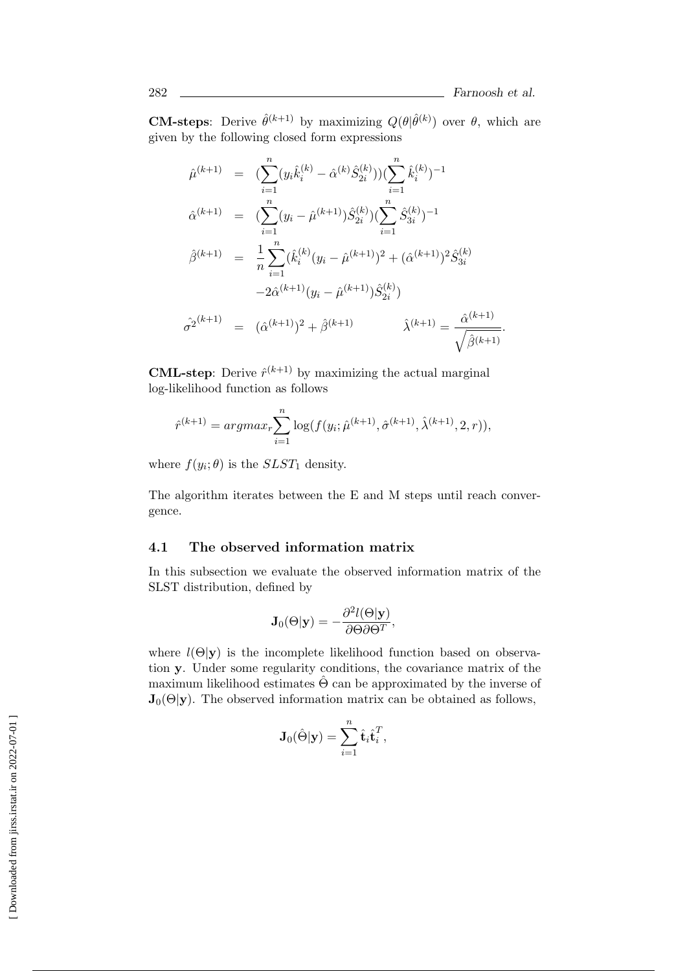**CM-steps**: Derive  $\hat{\theta}^{(k+1)}$  by maximizing  $Q(\theta|\hat{\theta}^{(k)})$  over  $\theta$ , which are given by the following closed form expressions

$$
\hat{\mu}^{(k+1)} = \left( \sum_{i=1}^{n} (y_i \hat{k}_i^{(k)} - \hat{\alpha}^{(k)} \hat{S}_{2i}^{(k)}) \right) \left( \sum_{i=1}^{n} \hat{k}_i^{(k)} \right)^{-1}
$$
\n
$$
\hat{\alpha}^{(k+1)} = \left( \sum_{i=1}^{n} (y_i - \hat{\mu}^{(k+1)}) \hat{S}_{2i}^{(k)} \right) \left( \sum_{i=1}^{n} \hat{S}_{3i}^{(k)} \right)^{-1}
$$
\n
$$
\hat{\beta}^{(k+1)} = \frac{1}{n} \sum_{i=1}^{n} (\hat{k}_i^{(k)} (y_i - \hat{\mu}^{(k+1)})^2 + (\hat{\alpha}^{(k+1)})^2 \hat{S}_{3i}^{(k)}
$$
\n
$$
-2\hat{\alpha}^{(k+1)} (y_i - \hat{\mu}^{(k+1)}) \hat{S}_{2i}^{(k)})
$$
\n
$$
\hat{\sigma}^{2^{(k+1)}} = (\hat{\alpha}^{(k+1)})^2 + \hat{\beta}^{(k+1)} \qquad \hat{\lambda}^{(k+1)} = \frac{\hat{\alpha}^{(k+1)}}{\sqrt{\hat{\beta}^{(k+1)}}}.
$$

**CML-step**: Derive  $\hat{r}^{(k+1)}$  by maximizing the actual marginal log-likelihood function as follows

$$
\hat{r}^{(k+1)} = argmax_{r} \sum_{i=1}^{n} \log(f(y_i; \hat{\mu}^{(k+1)}, \hat{\sigma}^{(k+1)}, \hat{\lambda}^{(k+1)}, 2, r)),
$$

where  $f(y_i; \theta)$  is the *SLST*<sub>1</sub> density.

The algorithm iterates between the E and M steps until reach convergence.

#### **4.1 The observed information matrix**

In this subsection we evaluate the observed information matrix of the SLST distribution, defined by

$$
\mathbf{J}_0(\Theta|\mathbf{y}) = -\frac{\partial^2 l(\Theta|\mathbf{y})}{\partial \Theta \partial \Theta^T},
$$

where  $l(\Theta|\mathbf{y})$  is the incomplete likelihood function based on observation **y**. Under some regularity conditions, the covariance matrix of the maximum likelihood estimates  $\hat{\Theta}$  can be approximated by the inverse of  $J_0(\Theta|\mathbf{y})$ . The observed information matrix can be obtained as follows,

$$
\mathbf{J}_0(\hat{\Theta}|\mathbf{y}) = \sum_{i=1}^n \hat{\mathbf{t}}_i \hat{\mathbf{t}}_i^T,
$$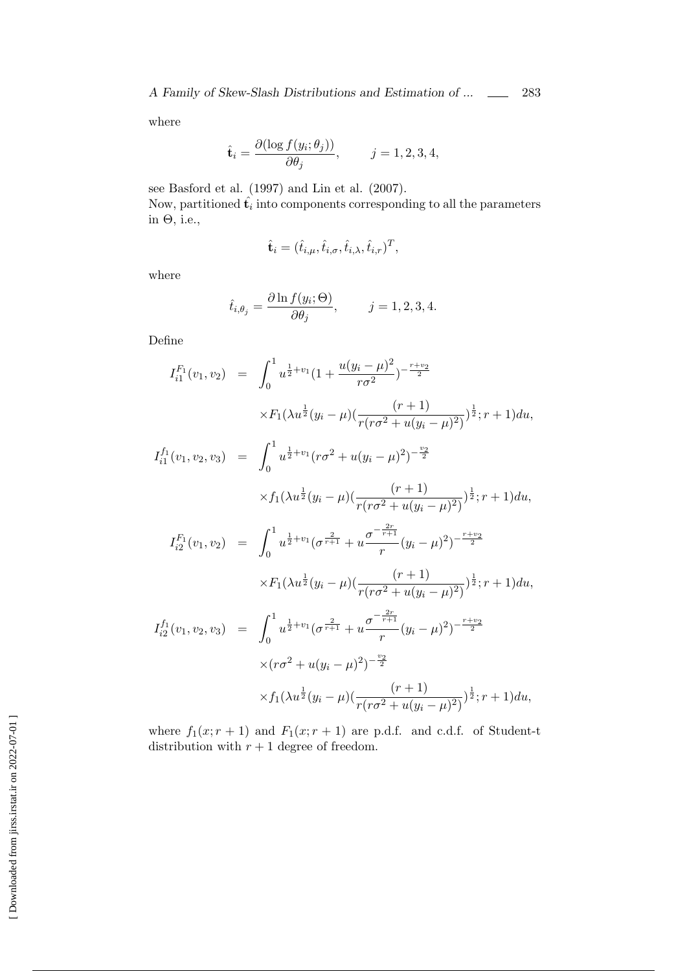where

$$
\hat{\mathbf{t}}_i = \frac{\partial(\log f(y_i; \theta_j))}{\partial \theta_j}, \qquad j = 1, 2, 3, 4,
$$

see Basford et al. (1997) and Lin et al. (2007).

Now, partitioned  $\hat{\mathbf{t}}_i$  into components corresponding to all the parameters in  $\Theta$ , i.e.,

$$
\hat{\mathbf{t}}_i = (\hat{t}_{i,\mu}, \hat{t}_{i,\sigma}, \hat{t}_{i,\lambda}, \hat{t}_{i,r})^T,
$$

where

$$
\hat{t}_{i,\theta_j} = \frac{\partial \ln f(y_i; \Theta)}{\partial \theta_j}, \qquad j = 1, 2, 3, 4.
$$

Define

$$
I_{i1}^{F_1}(v_1, v_2) = \int_0^1 u^{\frac{1}{2}+v_1} (1 + \frac{u(y_i - \mu)^2}{r\sigma^2})^{-\frac{r+v_2}{2}}
$$
  
\n
$$
\times F_1(\lambda u^{\frac{1}{2}}(y_i - \mu) (\frac{(r+1)}{r(r\sigma^2 + u(y_i - \mu)^2)})^{\frac{1}{2}}; r+1) du,
$$
  
\n
$$
I_{i1}^{f_1}(v_1, v_2, v_3) = \int_0^1 u^{\frac{1}{2}+v_1} (r\sigma^2 + u(y_i - \mu)^2)^{-\frac{v_2}{2}}
$$
  
\n
$$
\times f_1(\lambda u^{\frac{1}{2}}(y_i - \mu) (\frac{(r+1)}{r(r\sigma^2 + u(y_i - \mu)^2)})^{\frac{1}{2}}; r+1) du,
$$
  
\n
$$
I_{i2}^{F_1}(v_1, v_2) = \int_0^1 u^{\frac{1}{2}+v_1} (\sigma^{\frac{2}{r+1}} + u^{\frac{\sigma^{-\frac{2r}{r+1}}}{r}}(y_i - \mu)^2)^{-\frac{r+v_2}{2}}
$$
  
\n
$$
\times F_1(\lambda u^{\frac{1}{2}}(y_i - \mu) (\frac{(r+1)}{r(r\sigma^2 + u(y_i - \mu)^2)})^{\frac{1}{2}}; r+1) du,
$$
  
\n
$$
I_{i2}^{f_1}(v_1, v_2, v_3) = \int_0^1 u^{\frac{1}{2}+v_1} (\sigma^{\frac{2}{r+1}} + u^{\frac{\sigma^{-\frac{2r}{r+1}}}{r}}(y_i - \mu)^2)^{-\frac{r+v_2}{2}}
$$
  
\n
$$
\times (r\sigma^2 + u(y_i - \mu)^2)^{-\frac{v_2}{2}}
$$
  
\n
$$
\times f_1(\lambda u^{\frac{1}{2}}(y_i - \mu) (\frac{(r+1)}{r(r\sigma^2 + u(y_i - \mu)^2)})^{\frac{1}{2}}; r+1) du,
$$

where  $f_1(x; r + 1)$  and  $F_1(x; r + 1)$  are p.d.f. and c.d.f. of Student-t distribution with  $r + 1$  degree of freedom.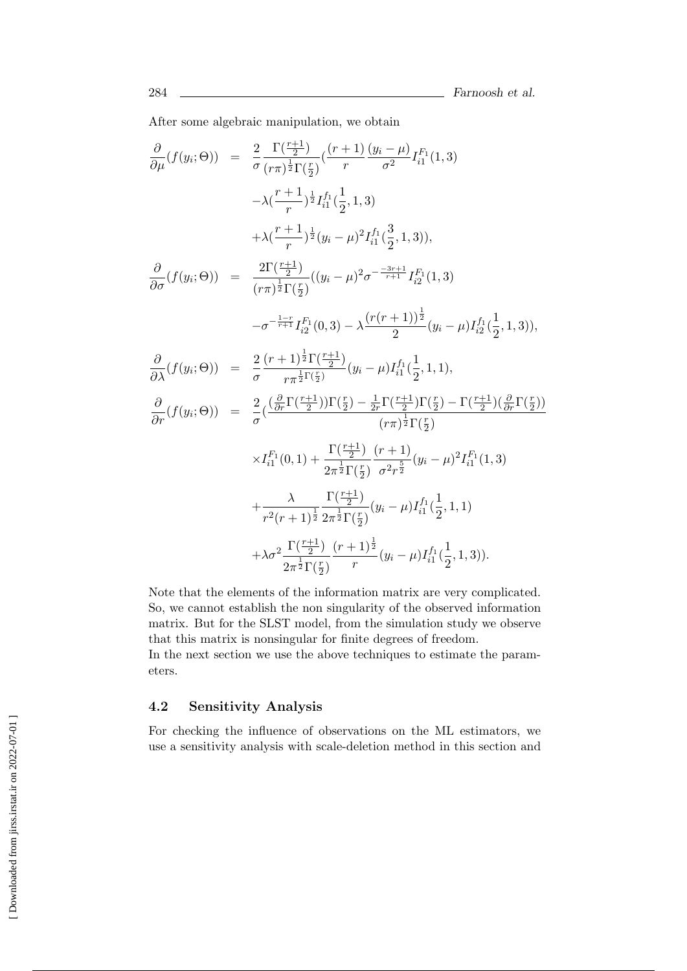After some algebraic manipulation, we obtain

$$
\frac{\partial}{\partial \mu}(f(y_i; \Theta)) = \frac{2}{\sigma} \frac{\Gamma(\frac{r+1}{2})}{(r\pi)^{\frac{1}{2}}\Gamma(\frac{r}{2})} \left(\frac{(r+1)}{r} \frac{(y_i - \mu)}{\sigma^2} I_{i1}^{F_1}(1,3) - \lambda \frac{(r+1)}{r} \frac{1}{2} I_{i1}^{f_1}(\frac{1}{2},1,3) - \lambda \frac{(r+1)}{r} \frac{1}{2} (y_i - \mu)^2 I_{i1}^{f_1}(\frac{3}{2},1,3) \right),
$$
\n
$$
\frac{\partial}{\partial \sigma}(f(y_i; \Theta)) = \frac{2\Gamma(\frac{r+1}{2})}{(r\pi)^{\frac{1}{2}}\Gamma(\frac{r}{2})} ((y_i - \mu)^2 \sigma^{-\frac{3r+1}{r+1}} I_{i2}^{F_1}(1,3) - \sigma^{-\frac{1}{r+1}} I_{i2}^{F_1}(0,3) - \lambda \frac{(r(r+1))^{\frac{1}{2}}}{2} (y_i - \mu) I_{i2}^{f_1}(\frac{1}{2},1,3) \right),
$$
\n
$$
\frac{\partial}{\partial \lambda}(f(y_i; \Theta)) = \frac{2}{\sigma} \frac{(r+1)^{\frac{1}{2}}\Gamma(\frac{r+1}{2})}{r\pi^{\frac{1}{2}}\Gamma(\frac{r}{2})} (y_i - \mu) I_{i1}^{f_1}(\frac{1}{2},1,1),
$$
\n
$$
\frac{\partial}{\partial r}(f(y_i; \Theta)) = \frac{2}{\sigma} (\frac{(\frac{\partial}{\partial r}\Gamma(\frac{r+1}{2}))\Gamma(\frac{r}{2}) - \frac{1}{2r}\Gamma(\frac{r+1}{2})\Gamma(\frac{r}{2}) - \Gamma(\frac{r+1}{2})(\frac{\partial}{\partial r}\Gamma(\frac{r}{2}))}{(r\pi)^{\frac{1}{2}}\Gamma(\frac{r}{2})} \times I_{i1}^{F_1}(0,1) + \frac{\Gamma(\frac{r+1}{2})}{2\pi^{\frac{1}{2}}\Gamma(\frac{r}{2})} \frac{(r+1)}{\sigma^2 r^{\frac{5}{2}}} (y_i - \mu)^2 I_{i1}^{f_1}(1,3) + \frac{\lambda}{r^2(r+1)^{\frac{1}{2}}\sigma^{\frac{1}{2}}\Gamma(\frac{
$$

Note that the elements of the information matrix are very complicated. So, we cannot establish the non singularity of the observed information matrix. But for the SLST model, from the simulation study we observe that this matrix is nonsingular for finite degrees of freedom.

In the next section we use the above techniques to estimate the parameters.

#### **4.2 Sensitivity Analysis**

For checking the influence of observations on the ML estimators, we use a sensitivity analysis with scale-deletion method in this section and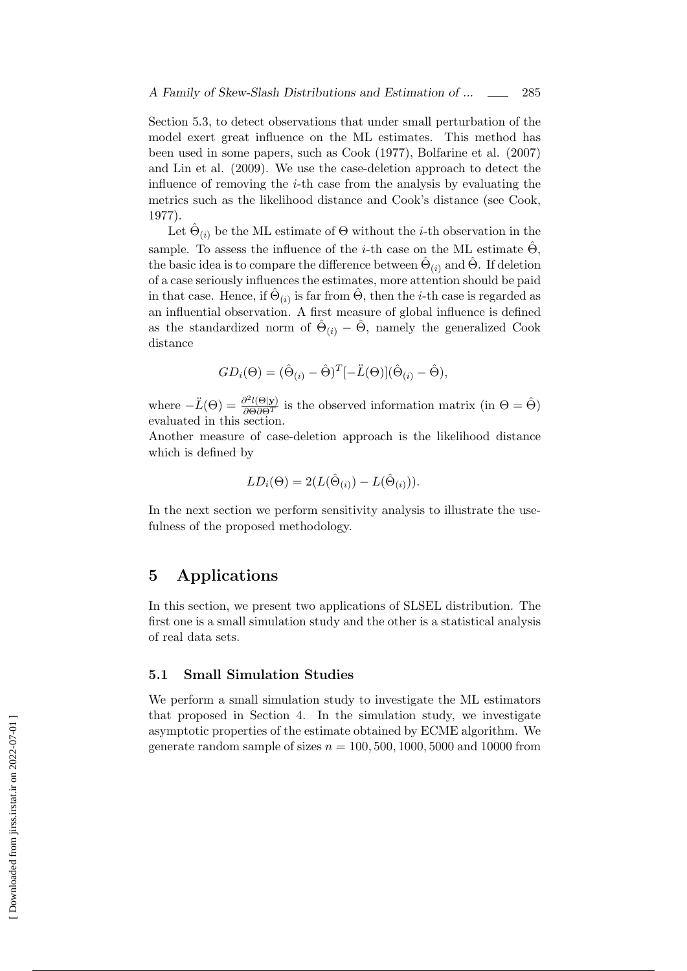Section 5.3, to detect observations that under small perturbation of the model exert great influence on the ML estimates. This method has been used in some papers, such as Cook (1977), Bolfarine et al. (2007) and Lin et al. (2009). We use the case-deletion approach to detect the influence of removing the *i*-th case from the analysis by evaluating the metrics such as the likelihood distance and Cook's distance (see Cook, 1977).

Let  $\hat{\Theta}_{(i)}$  be the ML estimate of  $\Theta$  without the *i*-th observation in the sample. To assess the influence of the *i*-th case on the ML estimate  $\hat{\Theta}$ , the basic idea is to compare the difference between  $\hat{\Theta}_{(i)}$  and  $\hat{\Theta}$ . If deletion of a case seriously influences the estimates, more attention should be paid in that case. Hence, if  $\hat{\Theta}_{(i)}$  is far from  $\hat{\Theta}$ , then the *i*-th case is regarded as an influential observation. A first measure of global influence is defined as the standardized norm of  $\hat{\Theta}_{(i)} - \hat{\Theta}$ , namely the generalized Cook distance

$$
GD_i(\Theta) = (\hat{\Theta}_{(i)} - \hat{\Theta})^T [-\ddot{L}(\Theta)](\hat{\Theta}_{(i)} - \hat{\Theta}),
$$

where  $-\ddot{L}(\Theta) = \frac{\partial^2 l(\Theta|\mathbf{y})}{\partial \Theta \partial \Theta^T}$  is the observed information matrix (in  $\Theta = \hat{\Theta}$ ) evaluated in this section.

Another measure of case-deletion approach is the likelihood distance which is defined by

$$
LD_i(\Theta) = 2(L(\hat{\Theta}_{(i)}) - L(\hat{\Theta}_{(i)})).
$$

In the next section we perform sensitivity analysis to illustrate the usefulness of the proposed methodology.

## **5 Applications**

In this section, we present two applications of SLSEL distribution. The first one is a small simulation study and the other is a statistical analysis of real data sets.

#### **5.1 Small Simulation Studies**

We perform a small simulation study to investigate the ML estimators that proposed in Section 4. In the simulation study, we investigate asymptotic properties of the estimate obtained by ECME algorithm. We generate random sample of sizes  $n = 100, 500, 1000, 5000$  and 10000 from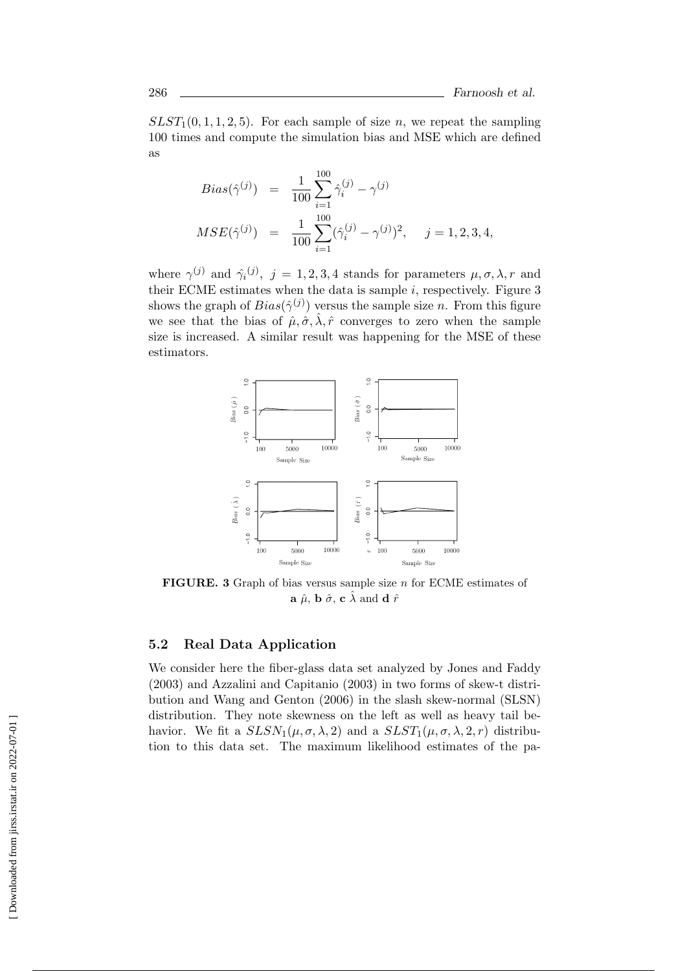$SLST<sub>1</sub>(0, 1, 1, 2, 5)$ . For each sample of size *n*, we repeat the sampling 100 times and compute the simulation bias and MSE which are defined as

$$
Bias(\hat{\gamma}^{(j)}) = \frac{1}{100} \sum_{i=1}^{100} \hat{\gamma}_i^{(j)} - \gamma^{(j)}
$$
  
\n
$$
MSE(\hat{\gamma}^{(j)}) = \frac{1}{100} \sum_{i=1}^{100} (\hat{\gamma}_i^{(j)} - \gamma^{(j)})^2, \quad j = 1, 2, 3, 4,
$$

where  $\gamma^{(j)}$  and  $\hat{\gamma_i}^{(j)}$ ,  $j = 1, 2, 3, 4$  stands for parameters  $\mu, \sigma, \lambda, r$  and their ECME estimates when the data is sample *i*, respectively. Figure 3 shows the graph of  $Bias(\hat{\gamma}^{(j)})$  versus the sample size *n*. From this figure we see that the bias of  $\hat{\mu}, \hat{\sigma}, \hat{\lambda}, \hat{r}$  converges to zero when the sample size is increased. A similar result was happening for the MSE of these estimators.



**FIGURE. 3** Graph of bias versus sample size *n* for ECME estimates of **a**  $\hat{\mu}$ , **b**  $\hat{\sigma}$ , **c**  $\hat{\lambda}$  and **d**  $\hat{r}$ 

#### **5.2 Real Data Application**

We consider here the fiber-glass data set analyzed by Jones and Faddy (2003) and Azzalini and Capitanio (2003) in two forms of skew-t distribution and Wang and Genton (2006) in the slash skew-normal (SLSN) distribution. They note skewness on the left as well as heavy tail behavior. We fit a  $SLSN_1(\mu, \sigma, \lambda, 2)$  and a  $SLST_1(\mu, \sigma, \lambda, 2, r)$  distribution to this data set. The maximum likelihood estimates of the pa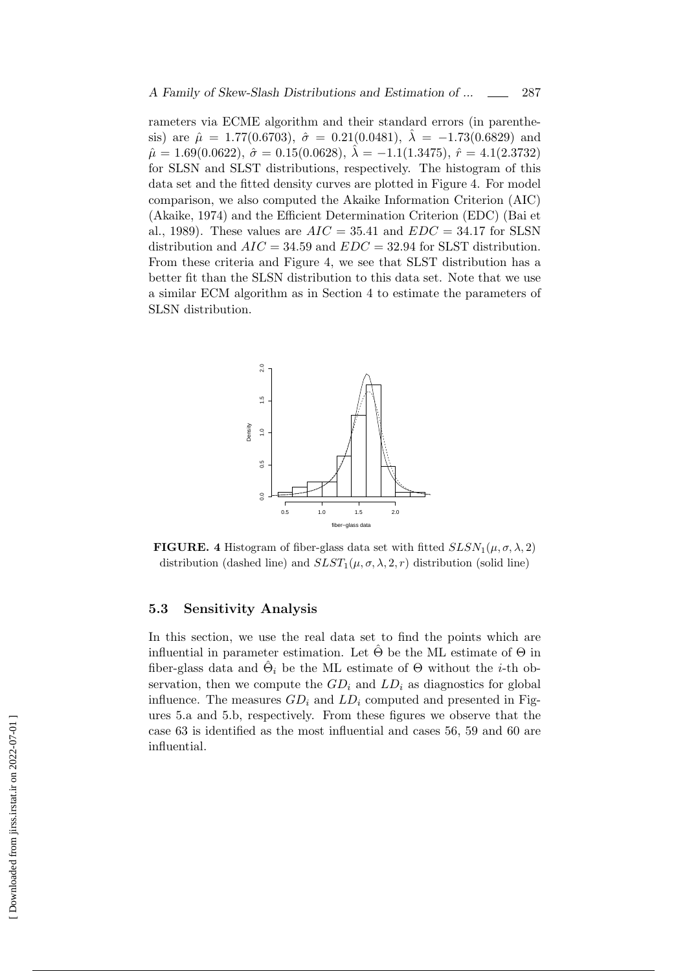rameters via ECME algorithm and their standard errors (in parenthesis) are  $\hat{\mu} = 1.77(0.6703), \ \hat{\sigma} = 0.21(0.0481), \ \hat{\lambda} = -1.73(0.6829)$  and  $\hat{\mu} = 1.69(0.0622), \ \hat{\sigma} = 0.15(0.0628), \ \hat{\lambda} = -1.1(1.3475), \ \hat{r} = 4.1(2.3732)$ for SLSN and SLST distributions, respectively. The histogram of this data set and the fitted density curves are plotted in Figure 4. For model comparison, we also computed the Akaike Information Criterion (AIC) (Akaike, 1974) and the Efficient Determination Criterion (EDC) (Bai et al., 1989). These values are  $AIC = 35.41$  and  $EDC = 34.17$  for SLSN distribution and *AIC* = 34*.*59 and *EDC* = 32*.*94 for SLST distribution. From these criteria and Figure 4, we see that SLST distribution has a better fit than the SLSN distribution to this data set. Note that we use a similar ECM algorithm as in Section 4 to estimate the parameters of SLSN distribution.



**FIGURE.** 4 Histogram of fiber-glass data set with fitted  $SLSN_1(\mu, \sigma, \lambda, 2)$ distribution (dashed line) and  $SLST_1(\mu, \sigma, \lambda, 2, r)$  distribution (solid line)

#### **5.3 Sensitivity Analysis**

In this section, we use the real data set to find the points which are influential in parameter estimation. Let  $\hat{\Theta}$  be the ML estimate of  $\Theta$  in fiber-glass data and  $\hat{\Theta}_i$  be the ML estimate of  $\Theta$  without the *i*-th observation, then we compute the  $GD_i$  and  $LD_i$  as diagnostics for global influence. The measures  $GD_i$  and  $LD_i$  computed and presented in Figures 5.a and 5.b, respectively. From these figures we observe that the case 63 is identified as the most influential and cases 56, 59 and 60 are influential.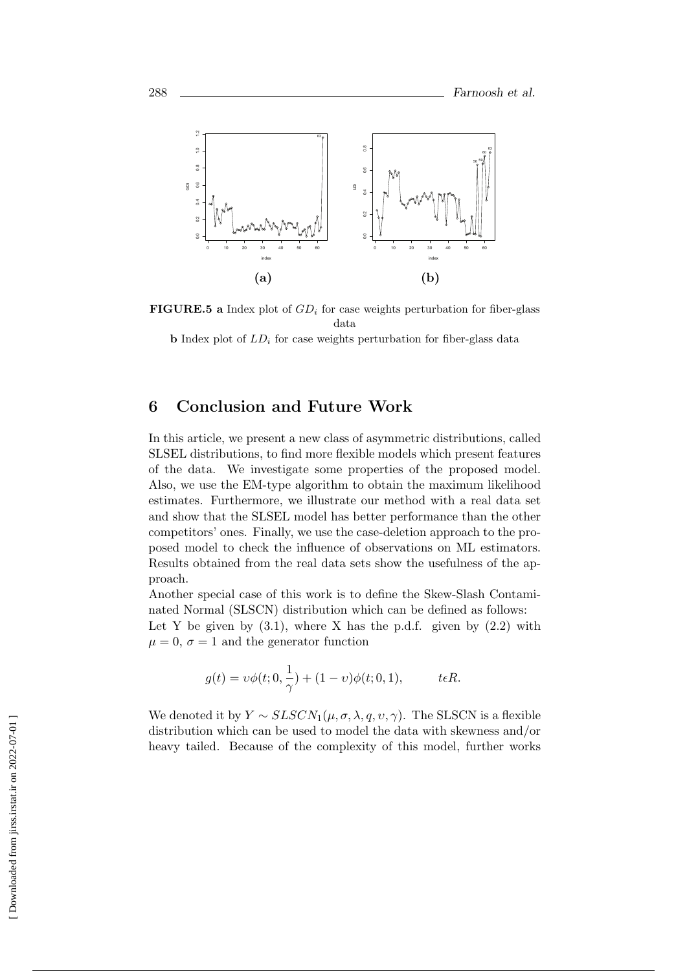

**FIGURE.5 a** Index plot of *GD<sup>i</sup>* for case weights perturbation for fiber-glass data

**b** Index plot of  $LD_i$  for case weights perturbation for fiber-glass data

## **6 Conclusion and Future Work**

In this article, we present a new class of asymmetric distributions, called SLSEL distributions, to find more flexible models which present features of the data. We investigate some properties of the proposed model. Also, we use the EM-type algorithm to obtain the maximum likelihood estimates. Furthermore, we illustrate our method with a real data set and show that the SLSEL model has better performance than the other competitors' ones. Finally, we use the case-deletion approach to the proposed model to check the influence of observations on ML estimators. Results obtained from the real data sets show the usefulness of the approach.

Another special case of this work is to define the Skew-Slash Contaminated Normal (SLSCN) distribution which can be defined as follows:

Let Y be given by  $(3.1)$ , where X has the p.d.f. given by  $(2.2)$  with  $\mu = 0, \sigma = 1$  and the generator function

$$
g(t) = \upsilon \phi(t; 0, \frac{1}{\gamma}) + (1 - \upsilon)\phi(t; 0, 1), \quad t \in R.
$$

We denoted it by  $Y \sim SLSCN_1(\mu, \sigma, \lambda, q, v, \gamma)$ . The SLSCN is a flexible distribution which can be used to model the data with skewness and/or heavy tailed. Because of the complexity of this model, further works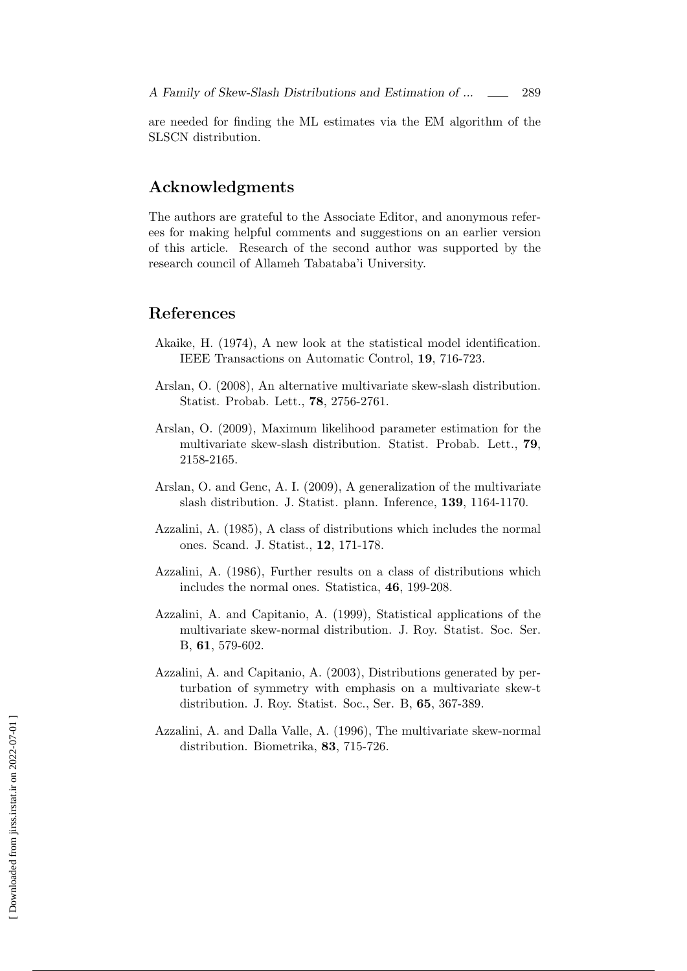are needed for finding the ML estimates via the EM algorithm of the SLSCN distribution.

## **Acknowledgments**

The authors are grateful to the Associate Editor, and anonymous referees for making helpful comments and suggestions on an earlier version of this article. Research of the second author was supported by the research council of Allameh Tabataba'i University.

## **References**

- Akaike, H. (1974), A new look at the statistical model identification. IEEE Transactions on Automatic Control, **19**, 716-723.
- Arslan, O. (2008), An alternative multivariate skew-slash distribution. Statist. Probab. Lett., **78**, 2756-2761.
- Arslan, O. (2009), Maximum likelihood parameter estimation for the multivariate skew-slash distribution. Statist. Probab. Lett., **79**, 2158-2165.
- Arslan, O. and Genc, A. I. (2009), A generalization of the multivariate slash distribution. J. Statist. plann. Inference, **139**, 1164-1170.
- Azzalini, A. (1985), A class of distributions which includes the normal ones. Scand. J. Statist., **12**, 171-178.
- Azzalini, A. (1986), Further results on a class of distributions which includes the normal ones. Statistica, **46**, 199-208.
- Azzalini, A. and Capitanio, A. (1999), Statistical applications of the multivariate skew-normal distribution. J. Roy. Statist. Soc. Ser. B, **61**, 579-602.
- Azzalini, A. and Capitanio, A. (2003), Distributions generated by perturbation of symmetry with emphasis on a multivariate skew-t distribution. J. Roy. Statist. Soc., Ser. B, **65**, 367-389.
- Azzalini, A. and Dalla Valle, A. (1996), The multivariate skew-normal distribution. Biometrika, **83**, 715-726.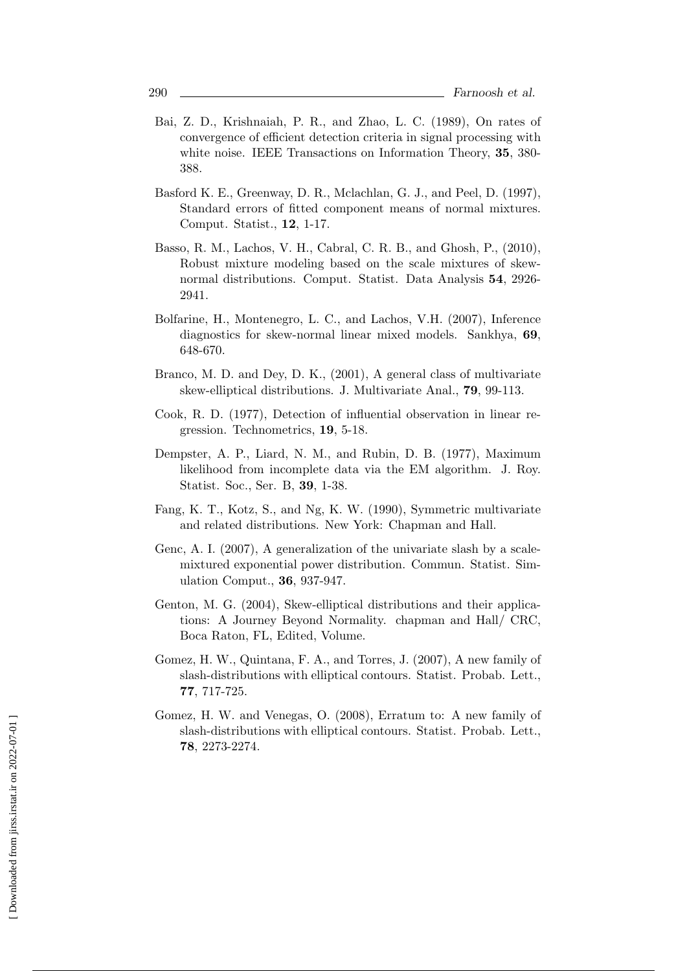- Bai, Z. D., Krishnaiah, P. R., and Zhao, L. C. (1989), On rates of convergence of efficient detection criteria in signal processing with white noise. IEEE Transactions on Information Theory, **35**, 380- 388.
- Basford K. E., Greenway, D. R., Mclachlan, G. J., and Peel, D. (1997), Standard errors of fitted component means of normal mixtures. Comput. Statist., **12**, 1-17.
- Basso, R. M., Lachos, V. H., Cabral, C. R. B., and Ghosh, P., (2010), Robust mixture modeling based on the scale mixtures of skewnormal distributions. Comput. Statist. Data Analysis **54**, 2926- 2941.
- Bolfarine, H., Montenegro, L. C., and Lachos, V.H. (2007), Inference diagnostics for skew-normal linear mixed models. Sankhya, **69**, 648-670.
- Branco, M. D. and Dey, D. K., (2001), A general class of multivariate skew-elliptical distributions. J. Multivariate Anal., **79**, 99-113.
- Cook, R. D. (1977), Detection of influential observation in linear regression. Technometrics, **19**, 5-18.
- Dempster, A. P., Liard, N. M., and Rubin, D. B. (1977), Maximum likelihood from incomplete data via the EM algorithm. J. Roy. Statist. Soc., Ser. B, **39**, 1-38.
- Fang, K. T., Kotz, S., and Ng, K. W. (1990), Symmetric multivariate and related distributions. New York: Chapman and Hall.
- Genc, A. I. (2007), A generalization of the univariate slash by a scalemixtured exponential power distribution. Commun. Statist. Simulation Comput., **36**, 937-947.
- Genton, M. G. (2004), Skew-elliptical distributions and their applications: A Journey Beyond Normality. chapman and Hall/ CRC, Boca Raton, FL, Edited, Volume.
- Gomez, H. W., Quintana, F. A., and Torres, J. (2007), A new family of slash-distributions with elliptical contours. Statist. Probab. Lett., **77**, 717-725.
- Gomez, H. W. and Venegas, O. (2008), Erratum to: A new family of slash-distributions with elliptical contours. Statist. Probab. Lett., **78**, 2273-2274.